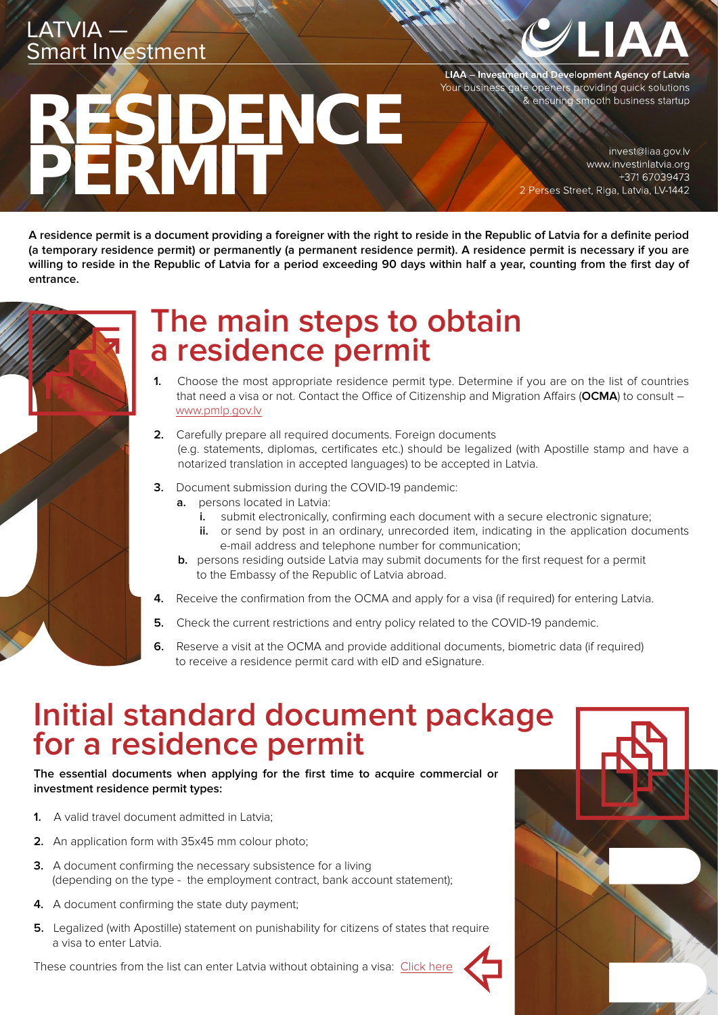## LATVIA —<br>Smart Investment

# RESIDENCE PERMIT

LIAA – Investment and Development Agency of Latvia<br>Your business gate openers providing quick solutions & ensuring smooth business startup

> invest@liaa.gov.lv www.investinlatvia.org +371 67039473 2 Perses Street, Riga, Latvia, LV-1442

**A residence permit is a document providing a foreigner with the right to reside in the Republic of Latvia for a definite period (a temporary residence permit) or permanently (a permanent residence permit). A residence permit is necessary if you are willing to reside in the Republic of Latvia for a period exceeding 90 days within half a year, counting from the first day of entrance.**



### **The main steps to obtain a residence permit**

- **1.** Choose the most appropriate residence permit type. Determine if you are on the list of countries that need a visa or not. Contact the Office of Citizenship and Migration Affairs (**OCMA**) to consult – [www.pmlp.gov.lv](http://www.pmlp.gov.lv)
- **2.** Carefully prepare all required documents. Foreign documents (e.g. statements, diplomas, certificates etc.) should be legalized (with Apostille stamp and have a notarized translation in accepted languages) to be accepted in Latvia.
- **3.** Document submission during the COVID-19 pandemic:
	- **a.** persons located in Latvia:
		- **i.** submit electronically, confirming each document with a secure electronic signature;
		- **ii.** or send by post in an ordinary, unrecorded item, indicating in the application documents e-mail address and telephone number for communication;
	- **b.** persons residing outside Latvia may submit documents for the first request for a permit to the Embassy of the Republic of Latvia abroad.
- **4.** Receive the confirmation from the OCMA and apply for a visa (if required) for entering Latvia.
- **5.** Check the current restrictions and entry policy related to the COVID-19 pandemic.
- **6.** Reserve a visit at the OCMA and provide additional documents, biometric data (if required) to receive a residence permit card with eID and eSignature.

### **Initial standard document package for a residence permit**

**The essential documents when applying for the first time to acquire commercial or investment residence permit types:**

- **1.** A valid travel document admitted in Latvia;
- **2.** An application form with 35x45 mm colour photo;
- **3.** A document confirming the necessary subsistence for a living (depending on the type - the employment contract, bank account statement);
- **4.** A document confirming the state duty payment;
- **5.** Legalized (with Apostille) statement on punishability for citizens of states that require a visa to enter Latvia.

These countries from the list can enter Latvia without obtaining a visa: [Click here](https://www.mfa.gov.lv/en/countries-and-territories-whose-citizens-may-enter-latvia-without-visa)

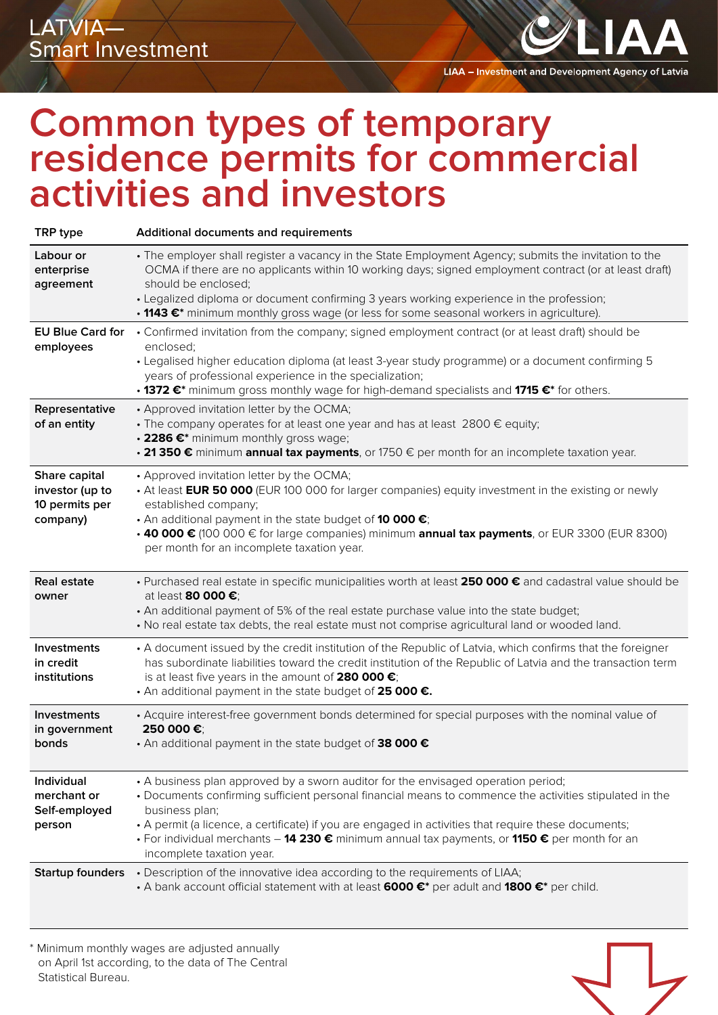LIAA - Investment and Development Agency of Latvia

### **Common types of temporary residence permits for commercial activities and investors**

| TRP type                                                       | Additional documents and requirements                                                                                                                                                                                                                                                                                                                                                                                                                |
|----------------------------------------------------------------|------------------------------------------------------------------------------------------------------------------------------------------------------------------------------------------------------------------------------------------------------------------------------------------------------------------------------------------------------------------------------------------------------------------------------------------------------|
| Labour or<br>enterprise<br>agreement                           | • The employer shall register a vacancy in the State Employment Agency; submits the invitation to the<br>OCMA if there are no applicants within 10 working days; signed employment contract (or at least draft)<br>should be enclosed;<br>• Legalized diploma or document confirming 3 years working experience in the profession;<br>• 1143 €* minimum monthly gross wage (or less for some seasonal workers in agriculture).                       |
| <b>EU Blue Card for</b><br>employees                           | • Confirmed invitation from the company; signed employment contract (or at least draft) should be<br>enclosed;<br>• Legalised higher education diploma (at least 3-year study programme) or a document confirming 5<br>years of professional experience in the specialization;<br>• 1372 €* minimum gross monthly wage for high-demand specialists and 1715 €* for others.                                                                           |
| Representative<br>of an entity                                 | • Approved invitation letter by the OCMA;<br>• The company operates for at least one year and has at least 2800 € equity;<br>• 2286 €* minimum monthly gross wage;<br>• 21 350 € minimum annual tax payments, or 1750 € per month for an incomplete taxation year.                                                                                                                                                                                   |
| Share capital<br>investor (up to<br>10 permits per<br>company) | • Approved invitation letter by the OCMA;<br>• At least EUR 50 000 (EUR 100 000 for larger companies) equity investment in the existing or newly<br>established company;<br>• An additional payment in the state budget of 10 000 €;<br>• 40 000 € (100 000 € for large companies) minimum annual tax payments, or EUR 3300 (EUR 8300)<br>per month for an incomplete taxation year.                                                                 |
| <b>Real estate</b><br>owner                                    | • Purchased real estate in specific municipalities worth at least 250 000 € and cadastral value should be<br>at least 80 000 €;<br>• An additional payment of 5% of the real estate purchase value into the state budget;<br>• No real estate tax debts, the real estate must not comprise agricultural land or wooded land.                                                                                                                         |
| <b>Investments</b><br>in credit<br>institutions                | • A document issued by the credit institution of the Republic of Latvia, which confirms that the foreigner<br>has subordinate liabilities toward the credit institution of the Republic of Latvia and the transaction term<br>is at least five years in the amount of 280 000 €;<br>• An additional payment in the state budget of 25 000 €.                                                                                                         |
| <b>Investments</b><br>in government<br>bonds                   | • Acquire interest-free government bonds determined for special purposes with the nominal value of<br>250 000€;<br>• An additional payment in the state budget of 38 000 €                                                                                                                                                                                                                                                                           |
| Individual<br>merchant or<br>Self-employed<br>person           | • A business plan approved by a sworn auditor for the envisaged operation period;<br>• Documents confirming sufficient personal financial means to commence the activities stipulated in the<br>business plan;<br>• A permit (a licence, a certificate) if you are engaged in activities that require these documents;<br>• For individual merchants - 14 230 € minimum annual tax payments, or 1150 € per month for an<br>incomplete taxation year. |
| <b>Startup founders</b>                                        | • Description of the innovative idea according to the requirements of LIAA;<br>• A bank account official statement with at least 6000 €* per adult and 1800 €* per child.                                                                                                                                                                                                                                                                            |

\* Minimum monthly wages are adjusted annually on April 1st according, to the data of The Central Statistical Bureau.